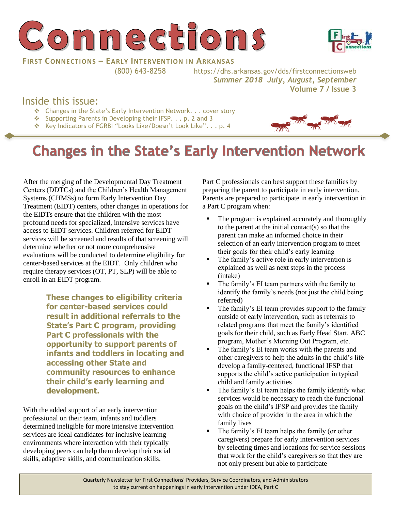



#### **FIRST CONNECTIONS – EARLY INTERVENTION IN ARKANSAS**

(800) 643-8258 https://dhs.arkansas.gov/dds/firstconnectionsweb *Summer 2018 July, August, September*  **Volume 7 / Issue 3**

## Inside this issue:

- ❖ Changes in the State's Early Intervention Network. . . cover story
- ❖ Supporting Parents in Developing their IFSP. . . p. 2 and 3
- ❖ Key Indicators of FGRBI "Looks Like/Doesn't Look Like". . . p. 4



# **Changes in the State's Early Intervention Network**

After the merging of the Developmental Day Treatment Centers (DDTCs) and the Children's Health Management Systems (CHMSs) to form Early Intervention Day Treatment (EIDT) centers, other changes in operations for the EIDTs ensure that the children with the most profound needs for specialized, intensive services have access to EIDT services. Children referred for EIDT services will be screened and results of that screening will determine whether or not more comprehensive evaluations will be conducted to determine eligibility for center-based services at the EIDT. Only children who require therapy services (OT, PT, SLP) will be able to enroll in an EIDT program.

> **These changes to eligibility criteria for center-based services could result in additional referrals to the State's Part C program, providing Part C professionals with the opportunity to support parents of infants and toddlers in locating and accessing other State and community resources to enhance their child's early learning and development.**

With the added support of an early intervention professional on their team, infants and toddlers determined ineligible for more intensive intervention services are ideal candidates for inclusive learning environments where interaction with their typically developing peers can help them develop their social skills, adaptive skills, and communication skills.

Part C professionals can best support these families by preparing the parent to participate in early intervention. Parents are prepared to participate in early intervention in a Part C program when:

- The program is explained accurately and thoroughly to the parent at the initial contact(s) so that the parent can make an informed choice in their selection of an early intervention program to meet their goals for their child's early learning
- The family's active role in early intervention is explained as well as next steps in the process (intake)
- **•** The family's EI team partners with the family to identify the family's needs (not just the child being referred)
- The family's EI team provides support to the family outside of early intervention, such as referrals to related programs that meet the family's identified goals for their child, such as Early Head Start, ABC program, Mother's Morning Out Program, etc.
- The family's EI team works with the parents and other caregivers to help the adults in the child's life develop a family-centered, functional IFSP that supports the child's active participation in typical child and family activities
- **•** The family's EI team helps the family identify what services would be necessary to reach the functional goals on the child's IFSP and provides the family with choice of provider in the area in which the family lives
- The family's EI team helps the family (or other caregivers) prepare for early intervention services by selecting times and locations for service sessions that work for the child's caregivers so that they are not only present but able to participate

Quarterly Newsletter for First Connections' Providers, Service Coordinators, and Administrators to stay current on happenings in early intervention under IDEA, Part C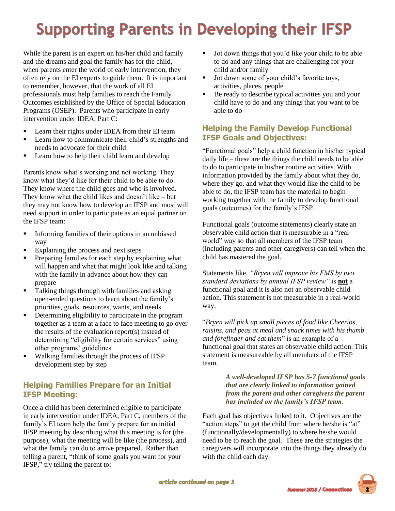# **Supporting Parents in Developing their IFSP**

While the parent is an expert on his/her child and family and the dreams and goal the family has for the child, when parents enter the world of early intervention, they often rely on the EI experts to guide them. It is important to remember, however, that the work of all EI professionals must help families to reach the Family Outcomes established by the Office of Special Education Programs (OSEP). Parents who participate in early intervention under IDEA, Part C:

- **EXECUTE:** Learn their rights under IDEA from their EI team
- Learn how to communicate their child's strengths and needs to advocate for their child
- Learn how to help their child learn and develop

Parents know what's working and not working. They know what they'd like for their child to be able to do. They know where the child goes and who is involved. They know what the child likes and doesn't like – but they may not know how to develop an IFSP and most will need support in order to participate as an equal partner on the IFSP team:

- **Informing families of their options in an unbiased** way
- Explaining the process and next steps
- Preparing families for each step by explaining what will happen and what that might look like and talking with the family in advance about how they can prepare
- Talking things through with families and asking open-ended questions to learn about the family's priorities, goals, resources, wants, and needs
- **•** Determining eligibility to participate in the program together as a team at a face to face meeting to go over the results of the evaluation report(s) instead of determining "eligibility for certain services" using other programs' guidelines
- Walking families through the process of IFSP development step by step

## **Helping Families Prepare for an Initial IFSP Meeting:**

Once a child has been determined eligible to participate in early intervention under IDEA, Part C, members of the family's EI team help the family prepare for an initial IFSP meeting by describing what this meeting is for (the purpose), what the meeting will be like (the process), and what the family can do to arrive prepared. Rather than telling a parent, "think of some goals you want for your IFSP," try telling the parent to:

- Jot down things that you'd like your child to be able to do and any things that are challenging for your child and/or family
- Jot down some of your child's favorite toys, activities, places, people
- Be ready to describe typical activities you and your child have to do and any things that you want to be able to do

### **Helping the Family Develop Functional IFSP Goals and Objectives:**

"Functional goals" help a child function in his/her typical daily life – these are the things the child needs to be able to do to participate in his/her routine activities. With information provided by the family about what they do, where they go, and what they would like the child to be able to do, the IFSP team has the material to begin working together with the family to develop functional goals (outcomes) for the family's IFSP.

Functional goals (outcome statements) clearly state an observable child action that is measurable in a "realworld" way so that all members of the IFSP team (including parents and other caregivers) can tell when the child has mastered the goal.

Statements like, *"Bryen will improve his FMS by two standard deviations by annual IFSP review"* is **not** a functional goal and it is also not an observable child action. This statement is not measurable in a real-world way.

"*Bryen will pick up small pieces of food like Cheerios, raisins, and peas at meal and snack times with his thumb and forefinger and eat them*" is an example of a functional goal that states an observable child action. This statement is measureable by all members of the IFSP team.

> *A well-developed IFSP has 5-7 functional goals that are clearly linked to information gained from the parent and other caregivers the parent has included on the family's IFSP team.*

Each goal has objectives linked to it. Objectives are the "action steps" to get the child from where he/she is "at" (functionally/developmentally) to where he/she would need to be to reach the goal. These are the strategies the caregivers will incorporate into the things they already do with the child each day.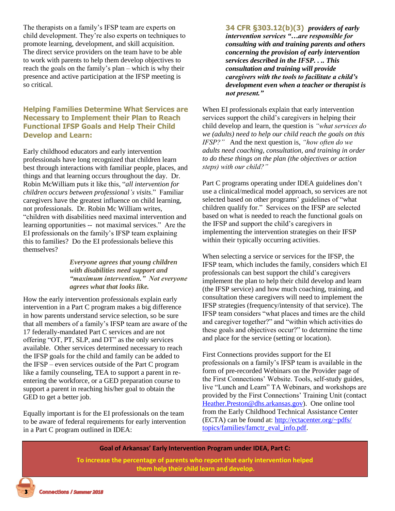The therapists on a family's IFSP team are experts on child development. They're also experts on techniques to promote learning, development, and skill acquisition. The direct service providers on the team have to be able to work with parents to help them develop objectives to reach the goals on the family's plan – which is why their presence and active participation at the IFSP meeting is so critical.

#### **Helping Families Determine What Services are Necessary to Implement their Plan to Reach Functional IFSP Goals and Help Their Child Develop and Learn:**

Early childhood educators and early intervention professionals have long recognized that children learn best through interactions with familiar people, places, and things and that learning occurs throughout the day. Dr. Robin McWilliam puts it like this, "*all intervention for children occurs between professional's visits*." Familiar caregivers have the greatest influence on child learning, not professionals. Dr. Robin Mc William writes, "children with disabilities need maximal intervention and learning opportunities -- not maximal services." Are the EI professionals on the family's IFSP team explaining this to families? Do the EI professionals believe this themselves?

#### *Everyone agrees that young children with disabilities need support and "maximum intervention." Not everyone agrees what that looks like.*

How the early intervention professionals explain early intervention in a Part C program makes a big difference in how parents understand service selection, so be sure that all members of a family's IFSP team are aware of the 17 federally-mandated Part C services and are not offering "OT, PT, SLP, and DT" as the only services available. Other services determined necessary to reach the IFSP goals for the child and family can be added to the IFSP – even services outside of the Part C program like a family counseling, TEA to support a parent in reentering the workforce, or a GED preparation course to support a parent in reaching his/her goal to obtain the GED to get a better job.

Equally important is for the EI professionals on the team to be aware of federal requirements for early intervention in a Part C program outlined in IDEA:

**34 CFR §303.12(b)(3)** *providers of early intervention services "…are responsible for consulting with and training parents and others concerning the provision of early intervention services described in the IFSP. . .. This consultation and training will provide caregivers with the tools to facilitate a child's development even when a teacher or therapist is not present."* 

When EI professionals explain that early intervention services support the child's caregivers in helping their child develop and learn, the question is *"what services do we (adults) need to help our child reach the goals on this IFSP?"* And the next question is, *"how often do we adults need coaching, consultation, and training in order to do these things on the plan (the objectives or action steps) with our child?"*

Part C programs operating under IDEA guidelines don't use a clinical/medical model approach, so services are not selected based on other programs' guidelines of "what children qualify for." Services on the IFSP are selected based on what is needed to reach the functional goals on the IFSP and support the child's caregivers in implementing the intervention strategies on their IFSP within their typically occurring activities.

When selecting a service or services for the IFSP, the IFSP team, which includes the family, considers which EI professionals can best support the child's caregivers implement the plan to help their child develop and learn (the IFSP service) and how much coaching, training, and consultation these caregivers will need to implement the IFSP strategies (frequency/intensity of that service). The IFSP team considers "what places and times are the child and caregiver together?" and "within which activities do these goals and objectives occur?" to determine the time and place for the service (setting or location).

First Connections provides support for the EI professionals on a family's IFSP team is available in the form of pre-recorded Webinars on the Provider page of the First Connections' Website. Tools, self-study guides, live "Lunch and Learn" TA Webinars, and workshops are provided by the First Connections' Training Unit (contact [Heather.Preston@dhs.arkansas.gov\)](mailto:Heather.Preston@dhs.arkansas.gov). One online tool from the Early Childhood Technical Assistance Center (ECTA) can be found at: [http://ectacenter.org/~pdfs/](http://ectacenter.org/~pdfs/topics/families/famctr_eval_info.pdf) [topics/families/famctr\\_eval\\_info.pdf.](http://ectacenter.org/~pdfs/topics/families/famctr_eval_info.pdf)

**Goal of Arkansas' Early Intervention Program under IDEA, Part C:**

**To increase the percentage of parents who report that early intervention helped them help their child learn and develop.**